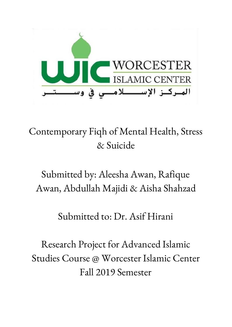

# Contemporary Fiqh of Mental Health, Stress & Suicide

# Submitted by: Aleesha Awan, Rafique Awan, Abdullah Majidi & Aisha Shahzad

# Submitted to: Dr. Asif Hirani

Research Project for Advanced Islamic Studies Course @ Worcester Islamic Center Fall 2019 Semester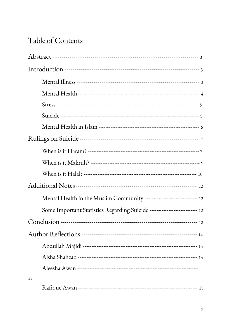# Table of Contents

| Mental Health in the Muslim Community ------------------------------ 12    |  |
|----------------------------------------------------------------------------|--|
| Some Important Statistics Regarding Suicide --------------------------- 12 |  |
|                                                                            |  |
|                                                                            |  |
|                                                                            |  |
|                                                                            |  |
|                                                                            |  |
| 15                                                                         |  |
|                                                                            |  |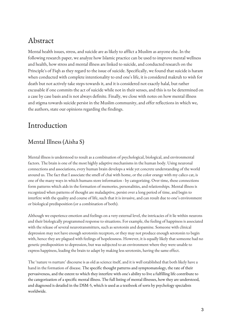## Abstract

Mental health issues, stress, and suicide are as likely to afflict a Muslim as anyone else. In the following research paper, we analyze how Islamic practice can be used to improve mental wellness and health, how stress and mental illness are linked to suicide, and conducted research on the Principle's of Fiqh as they regard to the issue of suicide. Specifically, we found that suicide is haram when conducted with complete intentionality to end one's life, it is considered makruh to wish for death but not actively take steps towards it, and it is considered not exactly halal, but rather excusable if one commits the act of suicide while not in their senses, and this is to be determined on a case by case basis and is not always definite. Finally, we close with notes on how mental illness and stigma towards suicide persist in the Muslim community, and offer reflections in which we, the authors, state our opinions regarding the findings.

## Introduction

## Mental Illness (Aisha S)

Mental illness is understood to result as a combination of psychological, biological, and environmental factors. The brain is one of the most highly adaptive mechanisms in the human body. Using neuronal connections and associations, every human brain develops a wide yet concrete understanding of the world around us. The fact that I associate the smell of chai with home, or the color orange with my calico cat, is one of the many ways in which humans store information - by categorizing. Over time, these connections form patterns which aids in the formation of memories, personalities, and relationships. Mental illness is recognized when patterns of thought are maladaptive, persist over a long period of time, and begin to interfere with the quality and course of life, such that it is invasive, and can result due to one's environment or biological predisposition (or a combination of both).

Although we experience emotion and feelings on a very external level, the intricacies of it lie within neurons and their biologically programmed response to situations. For example, the feeling of happiness is associated with the release of several neurotransmitters, such as serotonin and dopamine. Someone with clinical depression may not have enough serotonin receptors, or they may not produce enough serotonin to begin with, hence they are plagued with feelings of hopelessness. However, it is equally likely that someone had no genetic predisposition to depression, but was subjected to an environment where they were unable to express happiness, leading the brain to adapt by making less serotonin, having the same effect.

The 'nature vs nurture' discourse is as old as science itself, and it is well established that both likely have a hand in the formation of disease. The specific thought patterns and symptomatology, the rate of their pervasiveness, and the extent to which they interfere with one's ability to live a fulfilling life contribute to the categorization of a specific mental illness. The full listing of mental illnesses, how they are understood, and diagnosed is detailed in the DSM-5, which is used as a textbook of sorts by psychology specialists worldwide.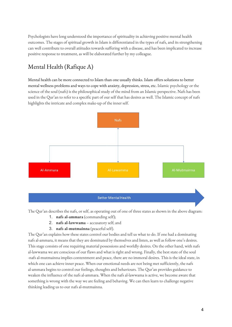Psychologists have long understood the importance of spirituality in achieving positive mental health outcomes. The stages of spiritual growth in Islam is differentiated in the types of nafs, and its strengthening can well contribute to overall atiitudes towards suffering with a disease, and has been implicated to increase positive response to treatment, as will be elaborated further by my colleague.

## Mental Health (Rafique A)

Mental health can be more connected to Islam than one usually thinks. Islam offers solutions to better mental wellness problems and ways to cope with anxiety, depression, stress, etc. Islamic psychology or the science of the soul (nafs) is the philosophical study of the mind from an Islamic perspective. Nafs has been used in the Qur'an to refer to a specific part of our self that has desires as well. The Islamic concept of nafs highlights the intricate and complex make-up of the inner self.



The Qur'an describes the nafs, or self, as operating out of one of three states as shown in the above diagram:

- 1. **nafs al-ammara** (commanding self);
- 2. **nafs al-lawwama** accusatory self; and
- 3. **nafs al-mutmainna** (peaceful self).

The Qur'an explains how these states control our bodies and tell us what to do. If one had a dominating nafs al-ammara, it means that they are dominated by themselves and listen, as well as follow one's desires. This stage consists of one requiring material possessions and worldly desires. On the other hand, with nafs al-lawwama we are conscious of our flaws and what is right and wrong. Finally, the best state of the soul -nafs al-mutmainna implies contentment and peace, there are no immoral desires. This is the ideal state, in which one can achieve inner peace. When our emotional needs are not being met sufficiently, the nafs al-ammara begins to control our feelings, thoughts and behaviours. The Qur'an provides guidance to weaken the influence of the nafs al-ammara. When the nafs al-lawwama is active, we become aware that something is wrong with the way we are feeling and behaving. We can then learn to challenge negative thinking leading us to our nafs al-mutmainna.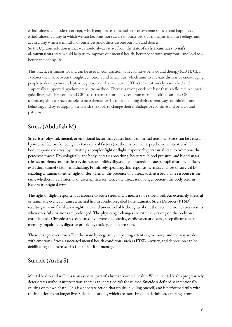Mindfulness is a modern concept, which emphasises a mental state of awareness, focus and happiness. Mindfulness is a way in which we can become more aware of ourselves, our thoughts and our feelings, and act in a way which is mindful of ourselves and others despite our nafs and desires. So the Quranic solution is that we should always strive from the state of **nafs al-ammara** to **nafs al-mutmainna** state would help us to improve our mental health, better cope with symptoms, and lead to a better and happy life.

This practice is similar to, and can be used in conjunction with cognitive behavioural therapy (CBT). CBT explores the link between thoughts, emotions and behaviour, which aims to alleviate distress by encouraging people to develop more adaptive cognitions and behaviours. CBT is the most widely researched and empirically supported psychotherapeutic method. There is a strong evidence base that is reflected in clinical guidelines, which recommend CBT as a treatment for many common mental health disorders. CBT ultimately aims to teach people to help themselves by understanding their current ways of thinking and behaving, and by equipping them with the tools to change their maladaptive cognitive and behavioural patterns.

#### Stress (Abdullah M)

Stress is a "physical, mental, or emotional factor that causes bodily or mental tension.'' Stress can be caused by internal factors (i.e being sick) or external factors (i.e. the environment, psychosocial situations). The body responds to stress by initiating a complex fight or flight response/hyperarousal state to overcome the perceived threat. Physiologically, the body increases breathing, heart rate, blood pressure, and blood sugar, releases nutrients for muscle use, decreases/inhibits digestion and excretion, causes pupil dilation, auditory exclusion, tunnel vision, and shaking. Primitively speaking, this response increases chances of survival by enabling a human to either fight or flee when in the presence of a threat such as a bear. The response is the same whether it is an internal or external stressor. Once the threat is no longer present, the body returns back to its original state.

The fight or flight response is a response to acute stress and is meant to be short lived. An extremely stressful or traumatic event can cause a mental health condition called Posttraumatic Stress Disorder (PTSD) resulting in vivid flashbacks/nightmares and uncontrollable thoughts about the event. Chronic stress results when stressful situations are prolonged. The physiologic changes are extremely taxing on the body on a chronic basis. Chronic stress can cause hypertension, obesity, cardiovascular disease, sleep disturbances, memory impairment, digestive problems, anxiety, and depression.

These changes over time affect the brain by negatively impacting attention, memory, and the way we deal with emotions. Stress- associated mental health conditions such as PTSD, anxiety, and depression can be debilitating and increase risk for suicide if unmanaged.

#### Suicide (Aisha S)

Mental health and wellness is an essential part of a human's overall health. When mental health progressively deteriorates without intervention, there is an increased risk for suicide. Suicide is defined as intentionally causing ones own death. This is a concrete action that results in killing oneself, and is performed fully with the intention to no longer live. Suicidal ideations, which are more broad in definition, can range from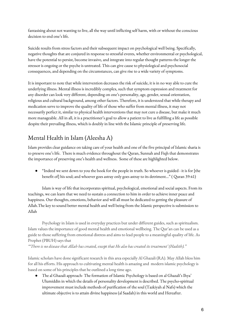fantasising about not wanting to live, all the way until inflicting self harm, with or without the conscious decision to end one's life.

Suicide results from stress factors and their subsequent impact on psychological well being. Specifically, negative thoughts that are conjured in response to stressful events, whether environmental or psychological, have the potential to persist, become invasive, and integrate into regular thought patterns the longer the stressor is ongoing or the psyche is untreated. This can give cause to physiological and psychosocial consequences, and depending on the circumstances, can give rise to a wide variety of symptoms.

It is important to note that while intervention decreases the risk of suicide, it is in no way able to cure the underlying illness. Mental illness is incredibly complex, such that symptom expression and treatment for any disorder can look very different, depending on one's personality, age, gender, sexual orientation, religious and cultural background, among other factors. Therefore, it is understood that while therapy and medication serve to improve the quality of life of those who suffer from mental illness, it may not necessarily perfect it, similar to physical health interventions that may not cure a disease, but make it much more manageable. All in all, it is a practitioner's goal to allow a patient to live as fulfilling a life as possible despite their prevailing illness, which is doubly in line with the Islamic principle of preserving life.

## Mental Health in Islam (Aleesha A)

Islam provides clear guidance on taking care of your health and one of the five principal of Islamic sharia is to preseve one's life. There is much evidence throughout the Quran, Sunnah and Fiqh that demonstrates the importance of preserving one's health and wellness. Some of these are highlighted below.

"Indeed we sent down to you the book for the people in truth. So whoever is guided - it is for [the benefit of] his soul; and whoever goes astray only goes astray to its detriment…" ( Quran 39:41)

Islam is way of life that incorporates spiritual, psychological, emotional and social aspects. From its teachings, we can learn that we need to sustain a connection to him in order to achieve inner peace and happiness. Our thoughts, emotions, behavior and will all must be dedicated to getting the pleasure of Allah.The key to sound better mental health and well being from the Islamic perspective is submission to Allah

Psychology in Islam is used in everyday practices but under different guides, such as spiritualism. Islam values the importance of good mental health and emotional wellbeing. The Qur'an can be used as a guide to those suffering from emotional distress and aims to lead people to a meaningful quality of life. As Prophet (PBUH) says that

*"'There is no disease that Allah has created, except that He also has created its treatment' (Hadith)."*

Islamic scholars have done significant research in this area especially Al Ghazali (RA). May Allah bless him for all his efforts. His approach to cultivating mental health is amazing and modern islamic psychology is based on some of his principles that he outlined a long time ago.

● The al Ghazali approach- The formation of Islamic Psychology is based on al Ghazali's Ihya' Ulumiddin in which the details of personality development is described. The psycho-spiritual improvement must include methods of purification of the soul (Tazkiyah al Nafs) which the ultimate objective is to attain divine happiness (al Saadah) in this world and Hereafter.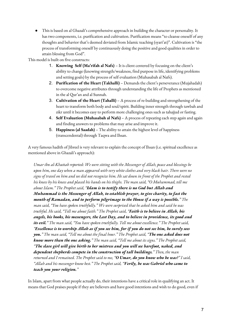This is based on al Ghazali's comprehensive approach in building the character or personality. It has two components, i.e. purification and cultivation. Purification means "to cleanse oneself of any thoughts and behavior that's deemed deviated from Islamic teaching (syari'at)". Cultivation is "the process of transforming oneself by continuously doing the positive and good qualities in order to attain blessing from God".

This model is built on five constructs:

- 1. **Knowing Self (Ma'rifah al Nafs)** It is client centered by focusing on the client's ability to change (knowing strength/weakness, find purpose in life, identifying problems and setting goals) by the process of self evaluation (Muhasabah al Nafs).
- 2. **Purification of the Heart (Takhalli)** Demands the client's perseverance (Mujahadah) to overcome negative attributes through understanding the life of Prophets as mentioned in the al Qur'an and al Sunnah.
- 3. **Cultivation of the Heart (Tahalli)** A process of re-building and strengthening of the heart to transform both body and soul/spirit. Building inner strength through tawbah and zikr until it becomes easy to perform more challenging ones such as tahajjud or fasting.
- 4. **Self Evaluation (Muhasabah al Nafs)** A process of repeating each step again and again and finding answers to problems that may arise and improve it.
- 5. **Happiness (al Saadah)** The ability to attain the highest level of happiness (transcendental) through Taqwa and Ihsan.

A very famous hadith of Jibreel is very relevant to explain the concept of Ihsan (i.e. spiritual excellence as mentioned above in Ghazali's approach):

*Umar ibn al-Khattab reported: We were sitting with the Messenger of Allah, peace and blessings be* upon him, one day when a man appeared with very white clothes and very black hair. There were no signs of travel on him and we did not recognize him. He sat down in front of the Prophet and rested his knees by his knees and placed his hands on his thighs. The man said, "O Muhammad, tell me *about Islam." The Prophet said, "Islam is to testify there is no God but Allah and Muhammad is the Messenger of Allah, to establish prayer, to give charity, to fast the month of Ramadan, and to perform pilgrimage to the House if a way is possible." The man said, "You have spoken truthfully." We were surprised that he asked him and said he was truthful. He said, "Tell me about faith." The Prophet said, "Faith is to believe in Allah, his angels, his books, his messengers, the Last Day, and to believe in providence, its good and its evil." The man said, "You have spoken truthfully. Tell me about excellence." The Prophet said,* "Excellence is to worship Allah as if you see him, for if you do not see him, he surely sees you." The man said, "Tell me about the final hour." The Prophet said, "The one asked does not *know more than the one asking." The man said, "Tell me about its signs." The Prophet said, "The slave girl will give birth to her mistress and you will see barefoot, naked, and dependent shepherds compete in the construction of tall buildings." Then, the man* returned and I remained. The Prophet said to me, "O Umar, do you know who he was?" I said, *"Allah and his messenger know best." The Prophet said, "Verily, he was Gabriel who came to teach you your religion."*

In Islam, apart from what people actually do, their intentions have a critical role in qualifying an act. It means that God praises people if they are believers and have good intentions and wish to do good, even if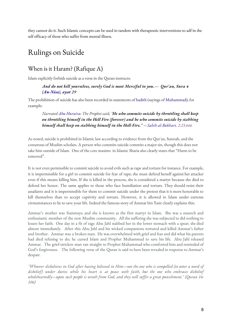they cannot do it. Such Islamic concepts can be used in tandem with therapeutic interventions to adf in the self efficacy of those who suffer from mental illness.

# Rulings on Suicide

### When is it Haram? (Rafique A)

Islam explicitly forbids suicide as a verse in the Quran instructs:

*And do not kill yourselves, surely God is most Merciful to you.— Qur'an, Sura 4 [\(An-Nisa\)](https://en.wikipedia.org/wiki/An-Nisa), [ayat](https://en.wikipedia.org/wiki/Ayat) 29*

The prohibition of suicide has also been recorded in statements of [hadith](https://en.wikipedia.org/wiki/Hadith) (sayings of [Muhammad](https://en.wikipedia.org/wiki/Muhammad)); for example:

*Narrated Abu [Huraira](https://en.wikipedia.org/wiki/Abu_Huraira): The Prophet said, "He who commits suicide by throttling shall keep on throttling himself in the Hell Fire (forever) and he who commits suicide by stabbing himself shall keep on stabbing himself in the Hell-Fire." —Sahih [al-Bukhari,](https://en.wikipedia.org/wiki/Sahih_al-Bukhari) [2:23:446](https://web.archive.org/web/19700101010101/http://cmje.usc.edu/religious-texts/hadith/bukhari/023-sbt.php#002.023.446)*

As noted, suicide is prohibited in Islamic law according to evidence from the Qur`an, Sunnah, and the consensus of Muslim scholars. A person who commits suicide commits a major sin, though this does not take him outside of Islam. One of the core maxims in Islamic Sharia also clearly states that "Harm to be removed".

It is not even permissible to commit suicide to avoid evils such as rapeand torture for instance. For example, it is impermissible for a girl to commit suicide for fear of rape; she must defend herself against her attacker even if this means killing him. If she is killed in the process, she is considered a martyr because she died to defend her honor. The same applies to those who face humiliation and torture. They should resist their assailants and it is impermissible for them to commit suicide under the pretext that it is more honorable to kill themselves than to accept captivity and torture. However, it is allowed in Islam under extreme cirstumstances to lie to save your life. Indeed the famous story of Ammar bin Yasir clearly explains this:

Ammar's mother was Summaya and she is known as the first martyr in Islam. She was a staunch and enthusiastic member of the new Muslim community. All the suffering she was subjected to did nothing to lessen her faith. One day in a fit of rage Abu Jahl stabbed her in the lower stomach with a spear; she died almost immediately. After this Abu Jahl and his wicked companions tortured and killed Ammar's father and brother. Ammar was a broken man. He was overwhelmed with griefand fearand did what his parents had died refusing to do; he cursed Islam and Prophet Muhammad to save his life. Abu Jahl released Ammar. The grief-stricken man ran straight to Prophet Muhammad who comforted him and reminded of God's forgiveness. The following verse of the Quran is said to have been revealed in response to Ammar's despair.

"Whoever disbelieves in God after having believed in Him—not the one who is compelled (to utter a word of *disbelief) under duress while his heart is at peace with faith, but the one who embraces disbelief wholeheartedly—upon such people is wrath from God, and they will suf er a great punishment." (Quran 16: 106)*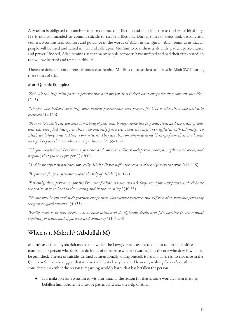A Muslim is obligated to exercise patience at times of affliction and fight injustice to the best of his ability. He is not commanded to commit suicide to escape afflictions. During times of deep trial, despair, and sadness, Muslims seek comfort and guidance in the words of Allah in the Quran. Allah reminds us that all people will be tried and tested in life, and calls upon Muslims to bear these trials with "patient perseverance and prayer." Indeed, Allah reminds us that many people before us have suffered and had their faith tested; so too will we be tried and tested in this life.

There are dozens upon dozens of verses that remind Muslims to be patient and trust in Allah SWT during these times of trial.

#### More Quranic Examples:

"Seek Allah's help with patient perseverance and prayer. It is indeed hard except for those who are humble." (2:45)

"Oh you who believe! Seek help with patient perseverance and prayer, for God is with those who patiently *persevere."* (2:153)

"Be sure We shall test you with something of fear and hunger, some loss in goods, lives, and the fruits of your toil. But give glad tidings to those who patiently persevere. Those who say, when afflicted with calamity, 'To Allah we belong, and to Him is our return.' They are those on whom descend blessings from their Lord, and *mercy. They are the ones who receive guidance."* (2:155-157)

"Oh you who believe! Persevere in patience and constancy. Vie in such perseverance, strengthen each other, and *be pious, that you may prosper."* (3:200)

"And be steadfast in patience, for verily Allah will not suffer the reward of the righteous to perish." (11:115)

*"Be patient, for your patience is with the help of Allah."* (16:127)

"Patiently, then, persevere - for the Promise of Allah is true, and ask forgiveness for your faults, and celebrate *the praises of your Lord in the evening and in the morning."* (40:55)

"No one will be granted such goodness except those who exercise patience and self-restraint, none but persons of *the greatest good fortune."* (41:35)

"Verily man is in loss, except such as have faith, and do righteous deeds, and join together in the mutual *enjoining of truth, and of patience and constancy."* (103:2-3)

#### When is it Makruh? (Abdullah M)

Makruh as defined by shariah means that which the Lawgiver asks us not to do, but not in a definitive manner. The person who does not do it out of obedience will be rewarded, but the one who does it will not be punished. The act of suicide, defined as intentionally killing oneself, is haram. There is no evidence in the Quran or Sunnah to suggest that it is makruh, but clearly haram. However, wishing for one's death is considered makruh if the reason is regarding worldly harm that has befallen the person.

It is makrooh for a Muslim to wish for death if the reason for that is some worldly harm that has befallen him. Rather he must be patient and seek the help of Allah.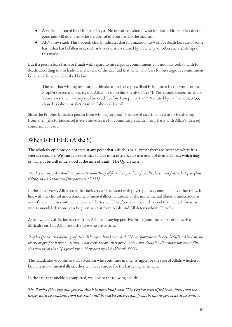- A version narrated by al-Bukhaari says: "No one of you should wish for death. Either he is a doer of good and will do more, or he is a doer of evil but perhaps he may stop."
- Al-Nawawi said: This hadeeth clearly indicates that it is makrooh to wish for death because of some harm that has befallen one, such as loss or distress caused by an enemy, or other such hardships of this world.

But if a person fears harm or fitnah with regard to his religious commitment, it is not makrooh to wish for death, according to this hadith, and several of the salaf did that. One who fears for his religious commitment because of fitnah as described below:

The fact that wishing for death in this situation is also prescribed is indicated by the words of the Prophet (peace and blessings of Allaah be upon him) in his du'aa': "If You should decree fitnah for Your slaves, then take my soul (in death) before I am put to trial." Narrated by al-Tirmidhi, 3233; classed as saheeh by al-Albaani in Saheeh al-Jaami'.

Since the Prophet forbade a person from wishing for death, because of an affliction that he is suffering from, then [the forbiddance] is even move severe for committing suicide, being hasty with Allah's [decree] concerning his soul.

## When is it Halal? (Aisha S)

The scholarly opinions do not state at any point that suicide is halal, rather there are instances where it is seen as excusable. We must consider that suicide most often occurs as a result of mental illness, which may or may not be well understood at the time of death. The Quran says:

"And certainly, We shall test you with something of fear, hunger, loss of wealth, lives and fruits, but give glad *tidings to As-Saabiroon (the patient). (2:155)*

In the above verse, Allah states that believers will be tested with poverty, illness, among many other trials. In line with the clinical understanding of mental illness as disease of the mind, mental illness is understood as one of these illnesses with which one will be tested. Therefore it can be understood that mental illness, as well as suicidal ideations, can be given as a test from Allah, and Allah tests whom He wills.

As known, any affliction is a test from Allah and staying positive throughout the course of illness is a difficult feat, but Allah rewards those who are patient.

Prophet (peace and blessings of Allaah be upon him) once said: "No misfortune or disease befalls a Muslim, no worry or grief or harm or distress – not even a thorn that pricks him – but Allaah will expiate for some of his *sins because of that." (Agreed upon. Narrated by al-Bukhaari, 5641)*

The hadith above confirms that a Muslim who continues in thier struggle for the sake of Allah, whether it be a physical or mental illness, they will be rewarded for the battle they maintain.

In the case that suicide is completed, we look to the follwing hadith:

The Prophet (blessings and peace of Allah be upon him) said: "The Pen has been lifted from three: from the sleeper until he awakens, from the child until he reaches puberty and from the insane person until he comes to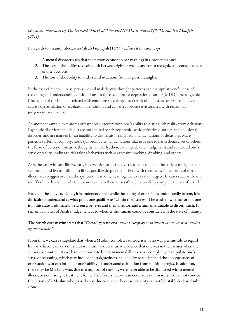#### *his senses." Narrated by Abu Dawood (4403), al-Tirmidhi (1423), al-Nasaa'i (3432) and Ibn Maajah (2041).*

In regards to insanity, al-Mawsoo'ah al- Fiqhiyyah (16/99) defines it in three ways:

- 1. A mental disorder such that the person cannot do or say things in a proper manner.
- 2. The loss of the ability to distinguish between right or wrong and/or to recognize the consequences of one's actions.
- 3. The loss of the ability to understand situations from all possible angles.

In the case of mental illness, pervasive and maladaptive thought patterns can manipulate one's sense of reasoning and understanding of situations. In the case of major depression disorder (MDD), the amygdala (the region of the brain correlated with emotions) is enlarged as a result of high stress exposure. This can cause a dysregulation or escalation of emotions and can affect processes associated with reasoning, judgement, and the like.

As another example, symptoms of psychosis interfere with one's ability to distinguish reality from delusions. Psychotic disorders include but are not limited to schizophrenia, schizoaffective disorder, and delusional disorder, and are marked by an inability to distinguish reality from hallucinations or delusions. Many patients suffering from psychotic symptoms cite hallucinations that urge one to harm themselves or others, the form of voices or intrusive thoughts. Similarly, these can impede one's judgement and can cloud one's sense of reality, leading to risk taking behaviors such as excessive smoking, drinking, and others.

As is the case with any illness, early intervention and effective treatment can help the patient mitigate their symptoms and live as fulfilling a life as possible despite them. Even with treatment, some forms of mental illness are so aggressive that the symptoms can only be mitigated to a certain degree. In cases such as these it is difficult to determine whether ot not one is in their senses if they successfully complete the act of suicide.

Based on the above evidence, it is understood that while the taking of one's life is undoubtedly haram, it is difficult to understand at what point one qualifies as 'within their senses'. The truth of whether or not one is in this state is ultimately between a believer and their Creator, and a human is unable to discern such. It remains a matter of Allah's judgement as to whether the human could be considered in the state of insanity.

#### The fourth core maxim states that "*Certainty is never annulled except by certainty; it can never be annulled by mere doubt."*

From this, we can extrapolate that when a Muslim completes suicide, it is in no way permissible to regard him as a disbeliever or a sinner, as we must have conclusive evidence that one was in their senses when the act was committed. As we have demonstrated, certain mental illnesses can completely manipulate one's sense of reasoning, which may induce shortsightedness, an inability to understand the consequences of one's actions, or can influence one's ability to understand a situation from multiple angles. In addition, there may be Muslims who, due to a number of reasons, were never able to be diagnosed with a mental illness, or never sought treatment for it. Therefore, since we can never rule out insanity, we cannot condemn the actions of a Muslim who passed away due to suicide, because certainty cannot be established by doubt alone.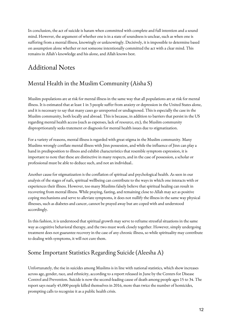In conclusion, the act of suicide is haram when committed with complete and full intention and a sound mind. However, the argument of whether one is in a state of soundness is unclear, such as when one is suffering from a mental illness, knowingly or unknowingly. Decisively, it is impossible to determine based on assumption alone whether or not someone intentionally committed the act with a clear mind. This remains in Allah's knowledge and his alone, and Allah knows best.

# Additional Notes

### Mental Health in the Muslim Community (Aisha S)

Muslim populations are at risk for mental illness in the same way that all populations are at risk for mental illness. It is estimated that at least 1 in 3 people suffer from anxiety or depression in the United States alone, and it is necessary to say that many cases go unreported or undiagnosed. This is especially the case in the Muslim community, both locally and abroad. This is because, in addition to barriers that persist in the US regarding mental health access (such as expenses, lack of resource, etc), the Muslim community disproprtionately seeks tratement or diagnosis for mental health issues due to stigmatization.

For a variety of reasons, mental illness is regarded with great stigma in the Muslim community. Many Muslims wrongly conflate mental illness with Jinn possession, and while the influence of Jinn can play a hand in predisposition to illness and exhibit characteristics that resemble symptom expression, it is important to note that these are distinctive in many respects, and in the case of possession, a scholar or professional must be able to deduce such, and not an individual..

Another cause for stigmatization is the conflation of spiritual and psychological health. As seen in our analysis of the stages of nafs, spiritual wellbeing can contribute to the ways in which one interacts with or experiences their illness. However, too many Muslims falsely believe that spiritual healing can result in recovering from mental illness. While praying, fasting, and remaining close to Allah may act as positive coping mechanisms and serve to alleviate symptoms, it does not nullify the illness in the same way physical illnesses, such as diabetes and cancer, cannot be prayed away but are coped with and understood accordingly.

In this fashion, it is understood that spiritual growth may serve to reframe stressful situations in the same way as cognitive behavioral therapy, and the two must work closely together. However, simply undergoing treatment does not guarantee recovery in the case of any chronic illness, so while spirituality may contribute to dealing with symptoms, it will not cure them.

## Some Important Statistics Regarding Suicide (Aleesha A)

Unfortunately, the rise in suicides among Muslims is in line with national statistics, which show increases across age, gender, race, and ethnicity, according to a report released in June by the Centers for Disease Control and Prevention. Suicide is now the second-leading cause of death among people ages 15 to 34. The report says nearly 45,000 people killed themselves in 2016, more than twice the number of homicides, prompting calls to recognize it as a public health crisis.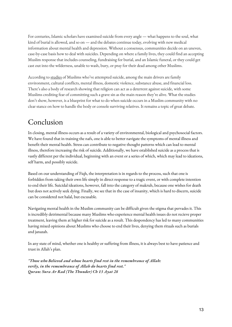For centuries, Islamic scholars have examined suicide from every angle — what happens to the soul, what kind of burial is allowed, and so on — and the debates continue today, evolving with new medical information about mental health and depression. Without a consensus, communities decide on an uneven, case-by-case basis how to deal with suicides. Depending on where a family lives, they could find an accepting Muslim response that includes counseling, fundraising for burial, and an Islamic funeral, or they could get cast out into the wilderness, unable to wash, bury, or pray for their dead among other Muslims.

According to [studies](http://www.thefyi.org/suicide-prevention-community-guide/) of Muslims who've attempted suicide, among the main drivers are family environment, cultural conflicts, mental illness, domestic violence, substance abuse, and financial loss. There's also a body of research showing that religion can act as a deterrent against suicide, with some Muslims crediting fear of committing such a grave sin as the main reason they're alive. What the studies don't show, however, is a blueprint for what to do when suicide occurs in a Muslim community with no clear stance on how to handle the body or console surviving relatives. It remains a topic of great debate.

# Conclusion

In closing, mental illness occurs as a result of a variety of environmental, biological and psychosocial factors. We have found that in training the nafs, one is able to better navigate the symptoms of mental illness and benefit their mental health. Stress can contribute to negative thought patterns which can lead to mental illness, therefore increasing the risk of suicide. Additionally, we have established suicide as a process that is vastly different per the individual, beginning with an event or a series of which, which may lead to ideations, self harm, and possibly suicide.

Based on our understanding of Fiqh, the interpretation is in regards to the process, such that one is forbidden from taking their own life simply in direct response to a tragic event, or with complete intention to end their life. Suicidal ideations, however, fall into the category of makruh, because one wishes for death but does not actively seek dying. Finally, we see that in the case of insanity, which is hard to discern, suicide can be considered not halal, but excusable.

Navigating mental health in the Muslim community can be difficult given the stigma that pervades it. This is incredibly detrimental because many Muslims who experience mental health issues do not recieve proper treatment, leaving them at higher risk for suicide as a result. This despondency has led to many communities having mixed opinions about Muslims who choose to end their lives, denying them rituals such as burials and janazah.

In any state of mind, whether one is healthy or suffering from illness, it is always best to have patience and trust in Allah's plan.

*"Those who Believed and whose hearts find rest in the remembrance of Allah: verily, in the remembrance of Allah do hearts find rest." Quran: Sura Ar Rad (The Thunder) Ch 13 Ayat 28*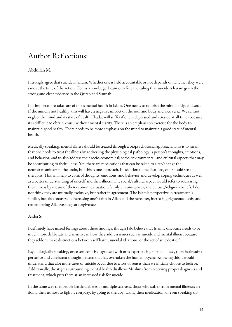# Author Reflections:

#### Abdullah M:

I strongly agree that suicide is haram. Whether one is held accountable or not depends on whether they were sane at the time of the action. To my knowledge, I cannot refute the ruling that suicide is haram given the strong and clear evidence in the Quran and Sunnah.

It is important to take care of one's mental health in Islam. One needs to nourish the mind, body, and soul. If the mind is not healthy, this will have a negative impact on the soul and body and vice versa. We cannot neglect the mind and its state of health. Ibadat will suffer if one is depressed and stressed at all times because it is difficult to obtain khusu without mental clarity. There is an emphasis on exercise for the body to maintain good health. There needs to be more emphasis on the mind to maintain a good state of mental health.

Medically speaking, mental illness should be treated through a biopsychosocial approach. This is to mean that one needs to treat the illness by addressing the physiological pathology, a person's thoughts, emotions, and behavior, and to also address their socio-economical; socio-environmental, and cultural aspects that may be contributing to their illness. Yes, there are medications that can be taken to alter/change the neurotransmitters in the brain, but this is one approach. In addition to medications, one should see a therapist. This will help to control thoughts, emotions, and behavior and develop coping techniques as well as a better understanding of oneself and their illness. The social/cultural aspect would refer to addressing their illness by means of their economic situation, family circumstances, and culture/religious beliefs. I do not think they are mutually exclusive, but rather in agreement. The Islamic perspective in treatment is similar, but also focuses on increasing one's faith in Allah and the hereafter, increasing righteous deeds, and remembering Allah/asking for forgiveness.

#### Aisha S:

I definitely have mixed feelings about these findings, though I do believe that Islamic discourse needs to be much more deliberate and sensitive in how they address issues such as suicide and mental illness, because they seldom make distinctions between self harm, suicidal ideations, or the act of suicide itself.

Psychologically speaking, once someone is diagnosed with or is experiencing mental illness, there is already a pervasive and consistent thought pattern that has overtaken the human psyche. Knowing this, I would understand that alot more cases of suicide occur due to a loss of senses than we initially choose to believe. Additionally, the stigma surrounding mental health disallows Muslims from receiving proper diagnosis and treatment, which puts them at an increased risk for suicide.

In the same way that people battle diabetes or multiple sclerosis, those who suffer from mental illnesses are doing their utmost to fight it everyday, by going to therapy, taking their medication, or even speaking up